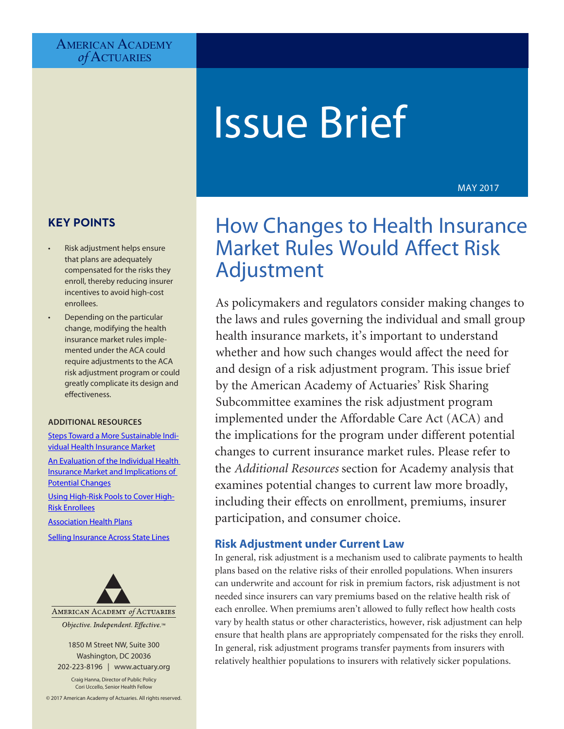## AMERICAN ACADEMY *of* Actuaries

# Issue Brief

MAY 2017

# **KEY POINTS**

- Risk adjustment helps ensure that plans are adequately compensated for the risks they enroll, thereby reducing insurer incentives to avoid high-cost enrollees.
- Depending on the particular change, modifying the health insurance market rules implemented under the ACA could require adjustments to the ACA risk adjustment program or could greatly complicate its design and effectiveness.

#### **ADDITIONAL RESOURCES**

[Steps Toward a More Sustainable Indi](http://www.actuary.org/content/steps-toward-more-sustainable-individual-health-insurance-market)[vidual Health Insurance Market](http://www.actuary.org/content/steps-toward-more-sustainable-individual-health-insurance-market)

[An Evaluation of the Individual Health](http://www.actuary.org/files/publications/Acad_eval_indiv_mkt_011817.pdf)  [Insurance Market and Implications of](http://www.actuary.org/files/publications/Acad_eval_indiv_mkt_011817.pdf)  [Potential Changes](http://www.actuary.org/files/publications/Acad_eval_indiv_mkt_011817.pdf)

[Using High-Risk Pools to Cover High-](http://www.actuary.org/files/publications/HighRiskPools_021017.pdf)[Risk Enrollees](http://www.actuary.org/files/publications/HighRiskPools_021017.pdf)

[Association Health Plans](http://www.actuary.org/files/publications/AssociationHealthPlans_021317.pdf)

[Selling Insurance Across State Lines](http://www.actuary.org/files/publications/AcrossStateLines_021317.pdf)



Objective. Independent. Effective.™

1850 M Street NW, Suite 300 Washington, DC 20036 202-223-8196 | [www.actuary.org](http://www.actuary.org)

Craig Hanna, Director of Public Policy Cori Uccello, Senior Health Fellow

© 2017 American Academy of Actuaries. All rights reserved.

# How Changes to Health Insurance Market Rules Would Affect Risk Adjustment

As policymakers and regulators consider making changes to the laws and rules governing the individual and small group health insurance markets, it's important to understand whether and how such changes would affect the need for and design of a risk adjustment program. This issue brief by the American Academy of Actuaries' Risk Sharing Subcommittee examines the risk adjustment program implemented under the Affordable Care Act (ACA) and the implications for the program under different potential changes to current insurance market rules. Please refer to the *Additional Resources* section for Academy analysis that examines potential changes to current law more broadly, including their effects on enrollment, premiums, insurer participation, and consumer choice.

#### **Risk Adjustment under Current Law**

In general, risk adjustment is a mechanism used to calibrate payments to health plans based on the relative risks of their enrolled populations. When insurers can underwrite and account for risk in premium factors, risk adjustment is not needed since insurers can vary premiums based on the relative health risk of each enrollee. When premiums aren't allowed to fully reflect how health costs vary by health status or other characteristics, however, risk adjustment can help ensure that health plans are appropriately compensated for the risks they enroll. In general, risk adjustment programs transfer payments from insurers with relatively healthier populations to insurers with relatively sicker populations.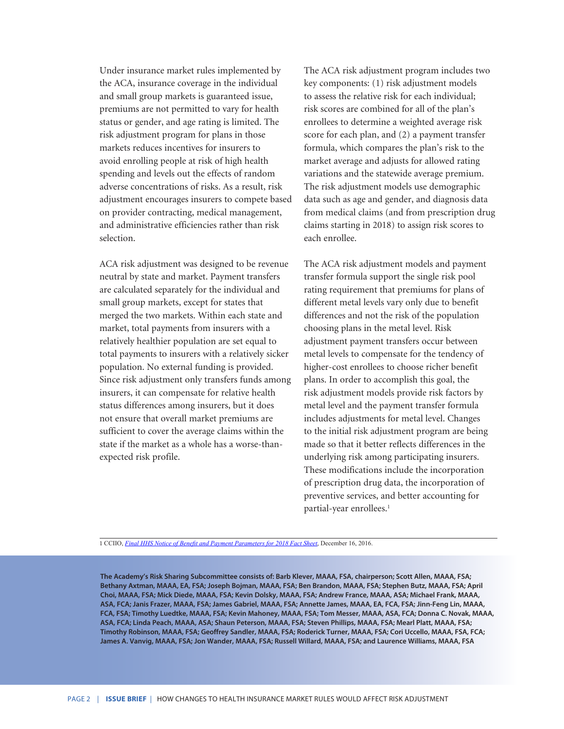Under insurance market rules implemented by the ACA, insurance coverage in the individual and small group markets is guaranteed issue, premiums are not permitted to vary for health status or gender, and age rating is limited. The risk adjustment program for plans in those markets reduces incentives for insurers to avoid enrolling people at risk of high health spending and levels out the effects of random adverse concentrations of risks. As a result, risk adjustment encourages insurers to compete based on provider contracting, medical management, and administrative efficiencies rather than risk selection.

ACA risk adjustment was designed to be revenue neutral by state and market. Payment transfers are calculated separately for the individual and small group markets, except for states that merged the two markets. Within each state and market, total payments from insurers with a relatively healthier population are set equal to total payments to insurers with a relatively sicker population. No external funding is provided. Since risk adjustment only transfers funds among insurers, it can compensate for relative health status differences among insurers, but it does not ensure that overall market premiums are sufficient to cover the average claims within the state if the market as a whole has a worse-thanexpected risk profile.

The ACA risk adjustment program includes two key components: (1) risk adjustment models to assess the relative risk for each individual; risk scores are combined for all of the plan's enrollees to determine a weighted average risk score for each plan, and (2) a payment transfer formula, which compares the plan's risk to the market average and adjusts for allowed rating variations and the statewide average premium. The risk adjustment models use demographic data such as age and gender, and diagnosis data from medical claims (and from prescription drug claims starting in 2018) to assign risk scores to each enrollee.

The ACA risk adjustment models and payment transfer formula support the single risk pool rating requirement that premiums for plans of different metal levels vary only due to benefit differences and not the risk of the population choosing plans in the metal level. Risk adjustment payment transfers occur between metal levels to compensate for the tendency of higher-cost enrollees to choose richer benefit plans. In order to accomplish this goal, the risk adjustment models provide risk factors by metal level and the payment transfer formula includes adjustments for metal level. Changes to the initial risk adjustment program are being made so that it better reflects differences in the underlying risk among participating insurers. These modifications include the incorporation of prescription drug data, the incorporation of preventive services, and better accounting for partial-year enrollees.<sup>1</sup>

1 CCIIO, *[Final HHS Notice of Benefit and Payment Parameters for 2018 Fact Sheet](https://www.cms.gov/CCIIO/Resources/Fact-Sheets-and-FAQs/Downloads/CMS-9934-F-Fact-Sheet-12-16-16.pdf)*, December 16, 2016.

**The Academy's Risk Sharing Subcommittee consists of: Barb Klever, MAAA, FSA, chairperson; Scott Allen, MAAA, FSA; Bethany Axtman, MAAA, EA, FSA; Joseph Bojman, MAAA, FSA; Ben Brandon, MAAA, FSA; Stephen Butz, MAAA, FSA; April Choi, MAAA, FSA; Mick Diede, MAAA, FSA; Kevin Dolsky, MAAA, FSA; Andrew France, MAAA, ASA; Michael Frank, MAAA, ASA, FCA; Janis Frazer, MAAA, FSA; James Gabriel, MAAA, FSA; Annette James, MAAA, EA, FCA, FSA; Jinn-Feng Lin, MAAA, FCA, FSA; Timothy Luedtke, MAAA, FSA; Kevin Mahoney, MAAA, FSA; Tom Messer, MAAA, ASA, FCA; Donna C. Novak, MAAA, ASA, FCA; Linda Peach, MAAA, ASA; Shaun Peterson, MAAA, FSA; Steven Phillips, MAAA, FSA; Mearl Platt, MAAA, FSA; Timothy Robinson, MAAA, FSA; Geoffrey Sandler, MAAA, FSA; Roderick Turner, MAAA, FSA; Cori Uccello, MAAA, FSA, FCA; James A. Vanvig, MAAA, FSA; Jon Wander, MAAA, FSA; Russell Willard, MAAA, FSA; and Laurence Williams, MAAA, FSA**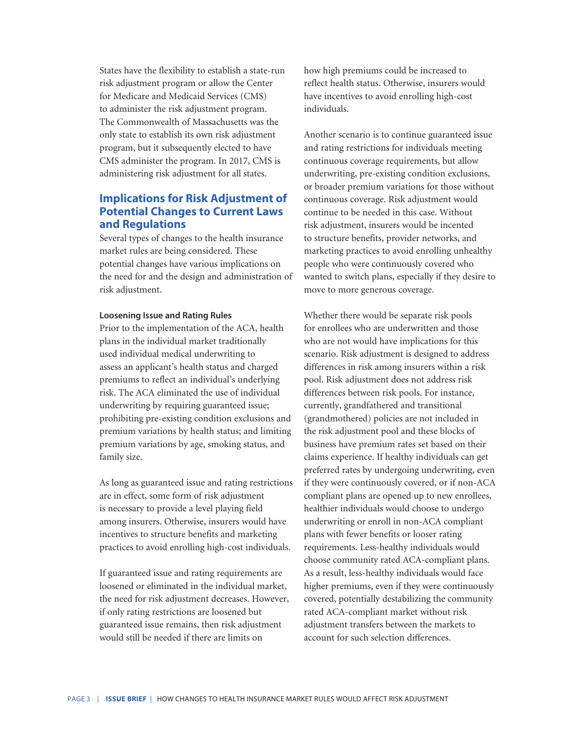States have the flexibility to establish a state-run risk adjustment program or allow the Center for Medicare and Medicaid Services (CMS) to administer the risk adjustment program. The Commonwealth of Massachusetts was the only state to establish its own risk adjustment program, but it subsequently elected to have CMS administer the program. In 2017, CMS is administering risk adjustment for all states.

### **Implications for Risk Adjustment of Potential Changes to Current Laws and Regulations**

Several types of changes to the health insurance market rules are being considered. These potential changes have various implications on the need for and the design and administration of risk adjustment.

#### **Loosening Issue and Rating Rules**

Prior to the implementation of the ACA, health plans in the individual market traditionally used individual medical underwriting to assess an applicant's health status and charged premiums to reflect an individual's underlying risk. The ACA eliminated the use of individual underwriting by requiring guaranteed issue; prohibiting pre-existing condition exclusions and premium variations by health status; and limiting premium variations by age, smoking status, and family size.

As long as guaranteed issue and rating restrictions are in effect, some form of risk adjustment is necessary to provide a level playing field among insurers. Otherwise, insurers would have incentives to structure benefits and marketing practices to avoid enrolling high-cost individuals.

If guaranteed issue and rating requirements are loosened or eliminated in the individual market, the need for risk adjustment decreases. However, if only rating restrictions are loosened but guaranteed issue remains, then risk adjustment would still be needed if there are limits on

how high premiums could be increased to reflect health status. Otherwise, insurers would have incentives to avoid enrolling high-cost individuals.

Another scenario is to continue guaranteed issue and rating restrictions for individuals meeting continuous coverage requirements, but allow underwriting, pre-existing condition exclusions, or broader premium variations for those without continuous coverage. Risk adjustment would continue to be needed in this case. Without risk adjustment, insurers would be incented to structure benefits, provider networks, and marketing practices to avoid enrolling unhealthy people who were continuously covered who wanted to switch plans, especially if they desire to move to more generous coverage.

Whether there would be separate risk pools for enrollees who are underwritten and those who are not would have implications for this scenario. Risk adjustment is designed to address differences in risk among insurers within a risk pool. Risk adjustment does not address risk differences between risk pools. For instance, currently, grandfathered and transitional (grandmothered) policies are not included in the risk adjustment pool and these blocks of business have premium rates set based on their claims experience. If healthy individuals can get preferred rates by undergoing underwriting, even if they were continuously covered, or if non-ACA compliant plans are opened up to new enrollees, healthier individuals would choose to undergo underwriting or enroll in non-ACA compliant plans with fewer benefits or looser rating requirements. Less-healthy individuals would choose community rated ACA-compliant plans. As a result, less-healthy individuals would face higher premiums, even if they were continuously covered, potentially destabilizing the community rated ACA-compliant market without risk adjustment transfers between the markets to account for such selection differences.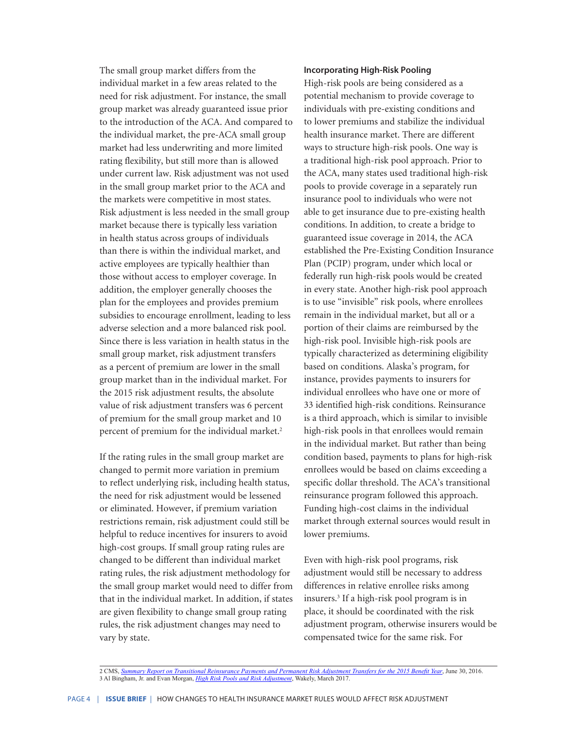The small group market differs from the individual market in a few areas related to the need for risk adjustment. For instance, the small group market was already guaranteed issue prior to the introduction of the ACA. And compared to the individual market, the pre-ACA small group market had less underwriting and more limited rating flexibility, but still more than is allowed under current law. Risk adjustment was not used in the small group market prior to the ACA and the markets were competitive in most states. Risk adjustment is less needed in the small group market because there is typically less variation in health status across groups of individuals than there is within the individual market, and active employees are typically healthier than those without access to employer coverage. In addition, the employer generally chooses the plan for the employees and provides premium subsidies to encourage enrollment, leading to less adverse selection and a more balanced risk pool. Since there is less variation in health status in the small group market, risk adjustment transfers as a percent of premium are lower in the small group market than in the individual market. For the 2015 risk adjustment results, the absolute value of risk adjustment transfers was 6 percent of premium for the small group market and 10 percent of premium for the individual market.<sup>2</sup>

If the rating rules in the small group market are changed to permit more variation in premium to reflect underlying risk, including health status, the need for risk adjustment would be lessened or eliminated. However, if premium variation restrictions remain, risk adjustment could still be helpful to reduce incentives for insurers to avoid high-cost groups. If small group rating rules are changed to be different than individual market rating rules, the risk adjustment methodology for the small group market would need to differ from that in the individual market. In addition, if states are given flexibility to change small group rating rules, the risk adjustment changes may need to vary by state.

#### **Incorporating High-Risk Pooling**

High-risk pools are being considered as a potential mechanism to provide coverage to individuals with pre-existing conditions and to lower premiums and stabilize the individual health insurance market. There are different ways to structure high-risk pools. One way is a traditional high-risk pool approach. Prior to the ACA, many states used traditional high-risk pools to provide coverage in a separately run insurance pool to individuals who were not able to get insurance due to pre-existing health conditions. In addition, to create a bridge to guaranteed issue coverage in 2014, the ACA established the Pre-Existing Condition Insurance Plan (PCIP) program, under which local or federally run high-risk pools would be created in every state. Another high-risk pool approach is to use "invisible" risk pools, where enrollees remain in the individual market, but all or a portion of their claims are reimbursed by the high-risk pool. Invisible high-risk pools are typically characterized as determining eligibility based on conditions. Alaska's program, for instance, provides payments to insurers for individual enrollees who have one or more of 33 identified high-risk conditions. Reinsurance is a third approach, which is similar to invisible high-risk pools in that enrollees would remain in the individual market. But rather than being condition based, payments to plans for high-risk enrollees would be based on claims exceeding a specific dollar threshold. The ACA's transitional reinsurance program followed this approach. Funding high-cost claims in the individual market through external sources would result in lower premiums.

Even with high-risk pool programs, risk adjustment would still be necessary to address differences in relative enrollee risks among insurers.3 If a high-risk pool program is in place, it should be coordinated with the risk adjustment program, otherwise insurers would be compensated twice for the same risk. For

<sup>2</sup> CMS, *[Summary Report on Transitional Reinsurance Payments and Permanent Risk Adjustment Transfers for the 2015 Benefit Year](https://www.cms.gov/CCIIO/Programs-and-Initiatives/Premium-Stabilization-Programs/Downloads/June-30-2016-RA-and-RI-Summary-Report-5CR-063016.pdf)*, June 30, 2016. 3 Al Bingham, Jr. and Evan Morgan, *[High Risk Pools and Risk Adjustment](http://www.wakely.com/wp-content/uploads/2017/04/High-Risk-Pools-and-Risk-Adjustment-Wakely-White-Paper.pdf)*, Wakely, March 2017.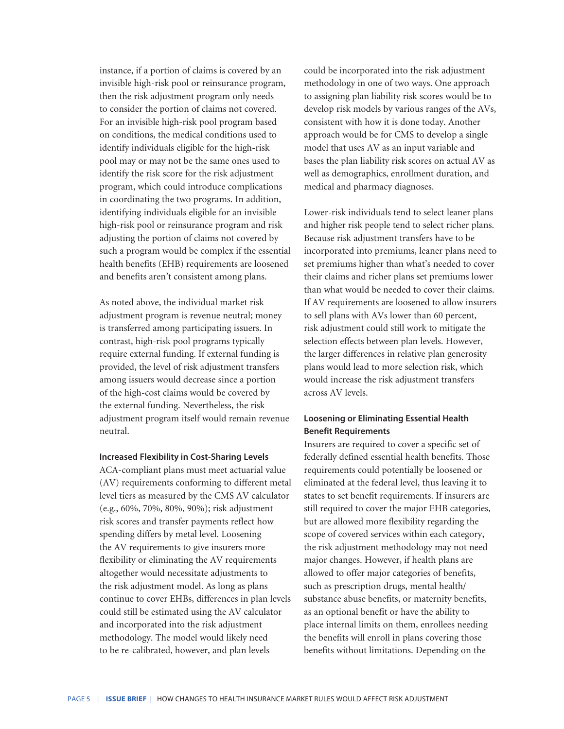instance, if a portion of claims is covered by an invisible high-risk pool or reinsurance program, then the risk adjustment program only needs to consider the portion of claims not covered. For an invisible high-risk pool program based on conditions, the medical conditions used to identify individuals eligible for the high-risk pool may or may not be the same ones used to identify the risk score for the risk adjustment program, which could introduce complications in coordinating the two programs. In addition, identifying individuals eligible for an invisible high-risk pool or reinsurance program and risk adjusting the portion of claims not covered by such a program would be complex if the essential health benefits (EHB) requirements are loosened and benefits aren't consistent among plans.

As noted above, the individual market risk adjustment program is revenue neutral; money is transferred among participating issuers. In contrast, high-risk pool programs typically require external funding. If external funding is provided, the level of risk adjustment transfers among issuers would decrease since a portion of the high-cost claims would be covered by the external funding. Nevertheless, the risk adjustment program itself would remain revenue neutral.

**Increased Flexibility in Cost-Sharing Levels** 

ACA-compliant plans must meet actuarial value (AV) requirements conforming to different metal level tiers as measured by the CMS AV calculator (e.g., 60%, 70%, 80%, 90%); risk adjustment risk scores and transfer payments reflect how spending differs by metal level. Loosening the AV requirements to give insurers more flexibility or eliminating the AV requirements altogether would necessitate adjustments to the risk adjustment model. As long as plans continue to cover EHBs, differences in plan levels could still be estimated using the AV calculator and incorporated into the risk adjustment methodology. The model would likely need to be re-calibrated, however, and plan levels

could be incorporated into the risk adjustment methodology in one of two ways. One approach to assigning plan liability risk scores would be to develop risk models by various ranges of the AVs, consistent with how it is done today. Another approach would be for CMS to develop a single model that uses AV as an input variable and bases the plan liability risk scores on actual AV as well as demographics, enrollment duration, and medical and pharmacy diagnoses.

Lower-risk individuals tend to select leaner plans and higher risk people tend to select richer plans. Because risk adjustment transfers have to be incorporated into premiums, leaner plans need to set premiums higher than what's needed to cover their claims and richer plans set premiums lower than what would be needed to cover their claims. If AV requirements are loosened to allow insurers to sell plans with AVs lower than 60 percent, risk adjustment could still work to mitigate the selection effects between plan levels. However, the larger differences in relative plan generosity plans would lead to more selection risk, which would increase the risk adjustment transfers across AV levels.

#### **Loosening or Eliminating Essential Health Benefit Requirements**

Insurers are required to cover a specific set of federally defined essential health benefits. Those requirements could potentially be loosened or eliminated at the federal level, thus leaving it to states to set benefit requirements. If insurers are still required to cover the major EHB categories, but are allowed more flexibility regarding the scope of covered services within each category, the risk adjustment methodology may not need major changes. However, if health plans are allowed to offer major categories of benefits, such as prescription drugs, mental health/ substance abuse benefits, or maternity benefits, as an optional benefit or have the ability to place internal limits on them, enrollees needing the benefits will enroll in plans covering those benefits without limitations. Depending on the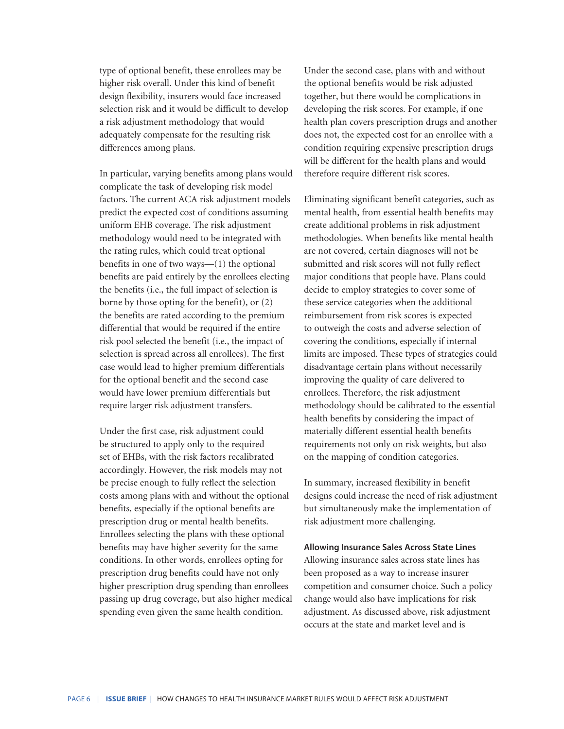type of optional benefit, these enrollees may be higher risk overall. Under this kind of benefit design flexibility, insurers would face increased selection risk and it would be difficult to develop a risk adjustment methodology that would adequately compensate for the resulting risk differences among plans.

In particular, varying benefits among plans would complicate the task of developing risk model factors. The current ACA risk adjustment models predict the expected cost of conditions assuming uniform EHB coverage. The risk adjustment methodology would need to be integrated with the rating rules, which could treat optional benefits in one of two ways—(1) the optional benefits are paid entirely by the enrollees electing the benefits (i.e., the full impact of selection is borne by those opting for the benefit), or (2) the benefits are rated according to the premium differential that would be required if the entire risk pool selected the benefit (i.e., the impact of selection is spread across all enrollees). The first case would lead to higher premium differentials for the optional benefit and the second case would have lower premium differentials but require larger risk adjustment transfers.

Under the first case, risk adjustment could be structured to apply only to the required set of EHBs, with the risk factors recalibrated accordingly. However, the risk models may not be precise enough to fully reflect the selection costs among plans with and without the optional benefits, especially if the optional benefits are prescription drug or mental health benefits. Enrollees selecting the plans with these optional benefits may have higher severity for the same conditions. In other words, enrollees opting for prescription drug benefits could have not only higher prescription drug spending than enrollees passing up drug coverage, but also higher medical spending even given the same health condition.

Under the second case, plans with and without the optional benefits would be risk adjusted together, but there would be complications in developing the risk scores. For example, if one health plan covers prescription drugs and another does not, the expected cost for an enrollee with a condition requiring expensive prescription drugs will be different for the health plans and would therefore require different risk scores.

Eliminating significant benefit categories, such as mental health, from essential health benefits may create additional problems in risk adjustment methodologies. When benefits like mental health are not covered, certain diagnoses will not be submitted and risk scores will not fully reflect major conditions that people have. Plans could decide to employ strategies to cover some of these service categories when the additional reimbursement from risk scores is expected to outweigh the costs and adverse selection of covering the conditions, especially if internal limits are imposed. These types of strategies could disadvantage certain plans without necessarily improving the quality of care delivered to enrollees. Therefore, the risk adjustment methodology should be calibrated to the essential health benefits by considering the impact of materially different essential health benefits requirements not only on risk weights, but also on the mapping of condition categories.

In summary, increased flexibility in benefit designs could increase the need of risk adjustment but simultaneously make the implementation of risk adjustment more challenging.

#### **Allowing Insurance Sales Across State Lines**

Allowing insurance sales across state lines has been proposed as a way to increase insurer competition and consumer choice. Such a policy change would also have implications for risk adjustment. As discussed above, risk adjustment occurs at the state and market level and is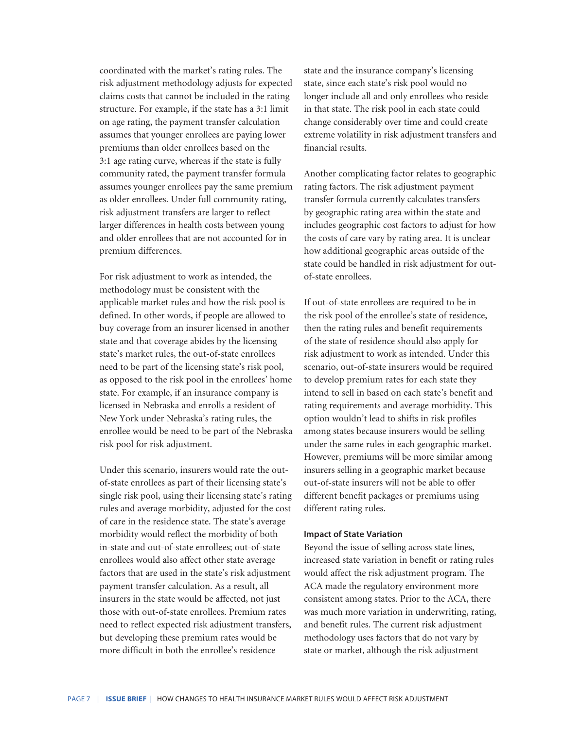coordinated with the market's rating rules. The risk adjustment methodology adjusts for expected claims costs that cannot be included in the rating structure. For example, if the state has a 3:1 limit on age rating, the payment transfer calculation assumes that younger enrollees are paying lower premiums than older enrollees based on the 3:1 age rating curve, whereas if the state is fully community rated, the payment transfer formula assumes younger enrollees pay the same premium as older enrollees. Under full community rating, risk adjustment transfers are larger to reflect larger differences in health costs between young and older enrollees that are not accounted for in premium differences.

For risk adjustment to work as intended, the methodology must be consistent with the applicable market rules and how the risk pool is defined. In other words, if people are allowed to buy coverage from an insurer licensed in another state and that coverage abides by the licensing state's market rules, the out-of-state enrollees need to be part of the licensing state's risk pool, as opposed to the risk pool in the enrollees' home state. For example, if an insurance company is licensed in Nebraska and enrolls a resident of New York under Nebraska's rating rules, the enrollee would be need to be part of the Nebraska risk pool for risk adjustment.

Under this scenario, insurers would rate the outof-state enrollees as part of their licensing state's single risk pool, using their licensing state's rating rules and average morbidity, adjusted for the cost of care in the residence state. The state's average morbidity would reflect the morbidity of both in-state and out-of-state enrollees; out-of-state enrollees would also affect other state average factors that are used in the state's risk adjustment payment transfer calculation. As a result, all insurers in the state would be affected, not just those with out-of-state enrollees. Premium rates need to reflect expected risk adjustment transfers, but developing these premium rates would be more difficult in both the enrollee's residence

state and the insurance company's licensing state, since each state's risk pool would no longer include all and only enrollees who reside in that state. The risk pool in each state could change considerably over time and could create extreme volatility in risk adjustment transfers and financial results.

Another complicating factor relates to geographic rating factors. The risk adjustment payment transfer formula currently calculates transfers by geographic rating area within the state and includes geographic cost factors to adjust for how the costs of care vary by rating area. It is unclear how additional geographic areas outside of the state could be handled in risk adjustment for outof-state enrollees.

If out-of-state enrollees are required to be in the risk pool of the enrollee's state of residence, then the rating rules and benefit requirements of the state of residence should also apply for risk adjustment to work as intended. Under this scenario, out-of-state insurers would be required to develop premium rates for each state they intend to sell in based on each state's benefit and rating requirements and average morbidity. This option wouldn't lead to shifts in risk profiles among states because insurers would be selling under the same rules in each geographic market. However, premiums will be more similar among insurers selling in a geographic market because out-of-state insurers will not be able to offer different benefit packages or premiums using different rating rules.

#### **Impact of State Variation**

Beyond the issue of selling across state lines, increased state variation in benefit or rating rules would affect the risk adjustment program. The ACA made the regulatory environment more consistent among states. Prior to the ACA, there was much more variation in underwriting, rating, and benefit rules. The current risk adjustment methodology uses factors that do not vary by state or market, although the risk adjustment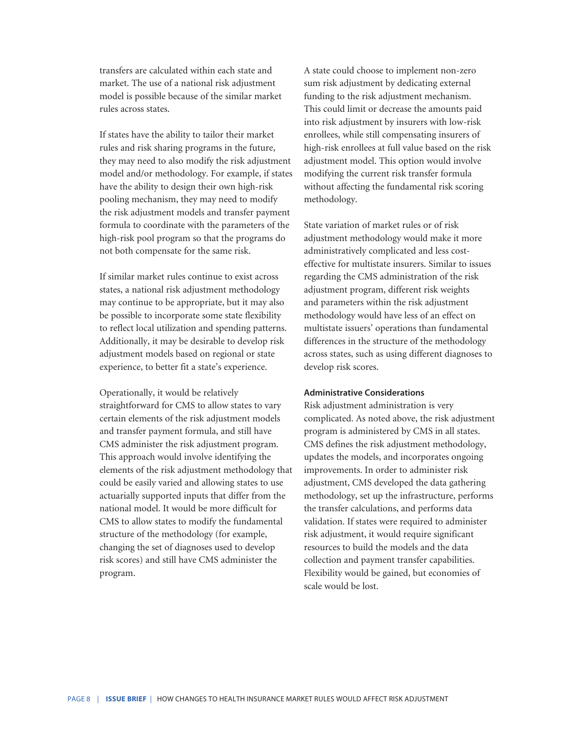transfers are calculated within each state and market. The use of a national risk adjustment model is possible because of the similar market rules across states.

If states have the ability to tailor their market rules and risk sharing programs in the future, they may need to also modify the risk adjustment model and/or methodology. For example, if states have the ability to design their own high-risk pooling mechanism, they may need to modify the risk adjustment models and transfer payment formula to coordinate with the parameters of the high-risk pool program so that the programs do not both compensate for the same risk.

If similar market rules continue to exist across states, a national risk adjustment methodology may continue to be appropriate, but it may also be possible to incorporate some state flexibility to reflect local utilization and spending patterns. Additionally, it may be desirable to develop risk adjustment models based on regional or state experience, to better fit a state's experience.

Operationally, it would be relatively straightforward for CMS to allow states to vary certain elements of the risk adjustment models and transfer payment formula, and still have CMS administer the risk adjustment program. This approach would involve identifying the elements of the risk adjustment methodology that could be easily varied and allowing states to use actuarially supported inputs that differ from the national model. It would be more difficult for CMS to allow states to modify the fundamental structure of the methodology (for example, changing the set of diagnoses used to develop risk scores) and still have CMS administer the program.

A state could choose to implement non-zero sum risk adjustment by dedicating external funding to the risk adjustment mechanism. This could limit or decrease the amounts paid into risk adjustment by insurers with low-risk enrollees, while still compensating insurers of high-risk enrollees at full value based on the risk adjustment model. This option would involve modifying the current risk transfer formula without affecting the fundamental risk scoring methodology.

State variation of market rules or of risk adjustment methodology would make it more administratively complicated and less costeffective for multistate insurers. Similar to issues regarding the CMS administration of the risk adjustment program, different risk weights and parameters within the risk adjustment methodology would have less of an effect on multistate issuers' operations than fundamental differences in the structure of the methodology across states, such as using different diagnoses to develop risk scores.

#### **Administrative Considerations**

Risk adjustment administration is very complicated. As noted above, the risk adjustment program is administered by CMS in all states. CMS defines the risk adjustment methodology, updates the models, and incorporates ongoing improvements. In order to administer risk adjustment, CMS developed the data gathering methodology, set up the infrastructure, performs the transfer calculations, and performs data validation. If states were required to administer risk adjustment, it would require significant resources to build the models and the data collection and payment transfer capabilities. Flexibility would be gained, but economies of scale would be lost.